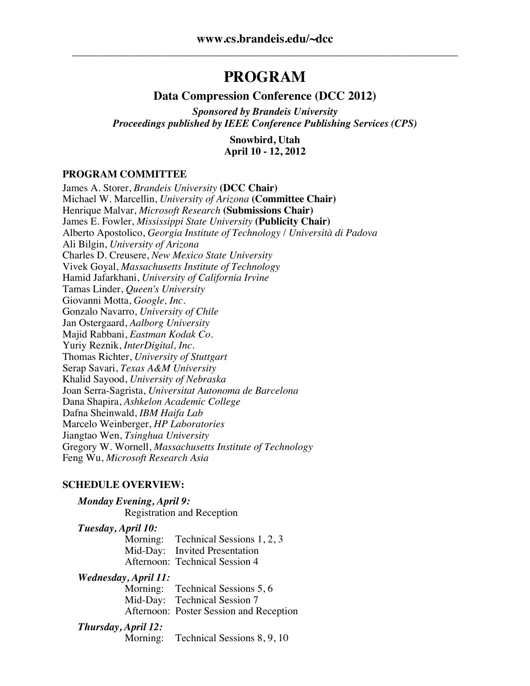## **PROGRAM**

#### **Data Compression Conference (DCC 2012)**

*Sponsored by Brandeis University Proceedings published by IEEE Conference Publishing Services (CPS)*

> **Snowbird, Utah April 10 - 12, 2012**

#### **PROGRAM COMMITTEE**

James A. Storer, *Brandeis University* **(DCC Chair)** Michael W. Marcellin, *University of Arizona* **(Committee Chair)** Henrique Malvar, *Microsoft Research* **(Submissions Chair)** James E. Fowler, *Mississippi State University* **(Publicity Chair)** Alberto Apostolico, *Georgia Institute of Technology* / *Università di Padova* Ali Bilgin, *University of Arizona* Charles D. Creusere, *New Mexico State University* Vivek Goyal, *Massachusetts Institute of Technology* Hamid Jafarkhani, *University of California Irvine* Tamas Linder, *Queen's University* Giovanni Motta, *Google, Inc.* Gonzalo Navarro, *University of Chile* Jan Ostergaard, *Aalborg University* Majid Rabbani, *Eastman Kodak Co.* Yuriy Reznik, *InterDigital, Inc.* Thomas Richter, *University of Stuttgart* Serap Savari, *Texas A&M University* Khalid Sayood, *University of Nebraska* Joan Serra-Sagrista, *Universitat Autonoma de Barcelona* Dana Shapira, *Ashkelon Academic College* Dafna Sheinwald, *IBM Haifa Lab* Marcelo Weinberger, *HP Laboratories* Jiangtao Wen, *Tsinghua University* Gregory W. Wornell, *Massachusetts Institute of Technology* Feng Wu, *Microsoft Research Asia*

#### **SCHEDULE OVERVIEW:**

#### *Monday Evening, April 9:* Registration and Reception

*Tuesday, April 10:*

Morning: Technical Sessions 1, 2, 3 Mid-Day: Invited Presentation Afternoon: Technical Session 4

#### *Wednesday, April 11:*

Morning: Technical Sessions 5, 6 Mid-Day: Technical Session 7 Afternoon: Poster Session and Reception

#### *Thursday, April 12:*

Morning: Technical Sessions 8, 9, 10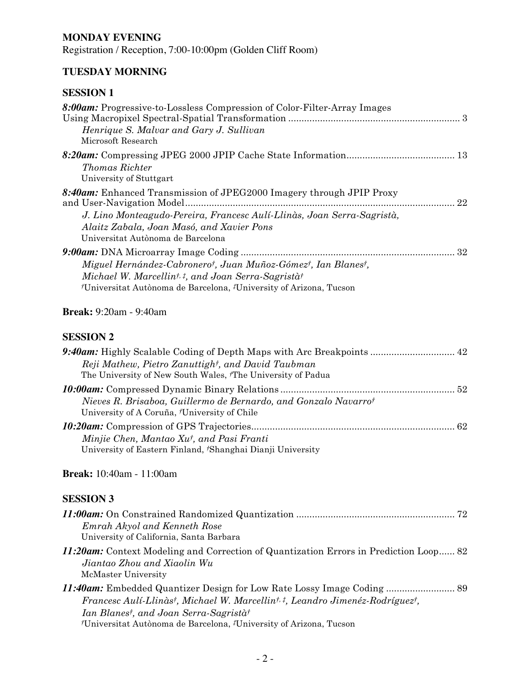## **MONDAY EVENING**

Registration / Reception, 7:00-10:00pm (Golden Cliff Room)

## **TUESDAY MORNING**

## **SESSION 1**

| 8:00am: Progressive-to-Lossless Compression of Color-Filter-Array Images<br>Henrique S. Malvar and Gary J. Sullivan<br>Microsoft Research                                                                                        |    |
|----------------------------------------------------------------------------------------------------------------------------------------------------------------------------------------------------------------------------------|----|
| <b>Thomas Richter</b><br>University of Stuttgart                                                                                                                                                                                 |    |
| 8:40am: Enhanced Transmission of JPEG2000 Imagery through JPIP Proxy<br>J. Lino Monteagudo-Pereira, Francesc Aulí-Llinàs, Joan Serra-Sagristà,<br>Alaitz Zabala, Joan Masó, and Xavier Pons<br>Universitat Autònoma de Barcelona | 22 |
| Miguel Hernández-Cabronerot, Juan Muñoz-Gómezt, Ian Blanest,<br>Michael W. Marcellin <sup>†, ‡</sup> , and Joan Serra-Sagristà†<br><sup>†</sup> Universitat Autònoma de Barcelona, <sup>‡</sup> University of Arizona, Tucson    |    |
| <b>Break:</b> 9:20am - 9:40am                                                                                                                                                                                                    |    |
| <b>SESSION 2</b>                                                                                                                                                                                                                 |    |

| 9:40am: Highly Scalable Coding of Depth Maps with Arc Breakpoints  42<br>Reji Mathew, Pietro Zanuttight, and David Taubman<br>The University of New South Wales, 'The University of Padua |  |
|-------------------------------------------------------------------------------------------------------------------------------------------------------------------------------------------|--|
| Nieves R. Brisaboa, Guillermo de Bernardo, and Gonzalo Navarrot<br>University of A Coruña, <i>†</i> University of Chile                                                                   |  |
| Minjie Chen, Mantao Xu <sup>†</sup> , and Pasi Franti<br>University of Eastern Finland, <i>†</i> Shanghai Dianji University                                                               |  |

## **Break:** 10:40am - 11:00am

| Emrah Akyol and Kenneth Rose<br>University of California, Santa Barbara                                                                                                                                     |  |
|-------------------------------------------------------------------------------------------------------------------------------------------------------------------------------------------------------------|--|
| 11:20am: Context Modeling and Correction of Quantization Errors in Prediction Loop 82<br>Jiantao Zhou and Xiaolin Wu<br>McMaster University                                                                 |  |
| Francesc Aulí-Llinàst, Michael W. Marcellint, t, Leandro Jimenéz-Rodríguezt,<br>Ian Blanest, and Joan Serra-Sagristàt<br><i>†</i> Universitat Autònoma de Barcelona, <i>‡</i> University of Arizona, Tucson |  |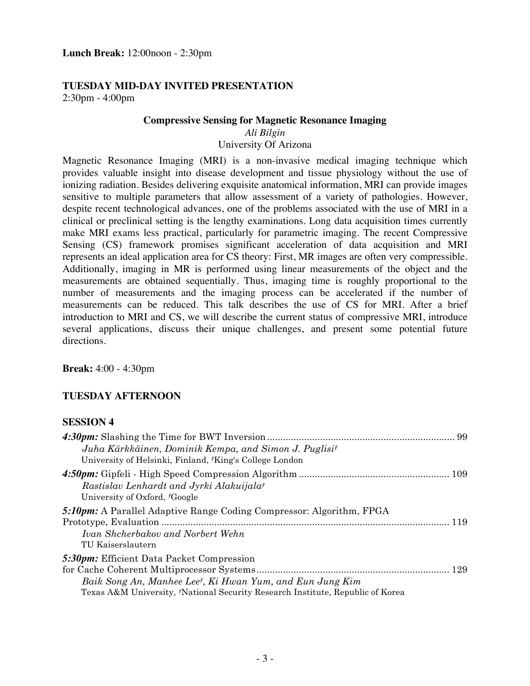#### **TUESDAY MID-DAY INVITED PRESENTATION** 2:30pm - 4:00pm

#### **Compressive Sensing for Magnetic Resonance Imaging**

*Ali Bilgin*

University Of Arizona

Magnetic Resonance Imaging (MRI) is a non-invasive medical imaging technique which provides valuable insight into disease development and tissue physiology without the use of ionizing radiation. Besides delivering exquisite anatomical information, MRI can provide images sensitive to multiple parameters that allow assessment of a variety of pathologies. However, despite recent technological advances, one of the problems associated with the use of MRI in a clinical or preclinical setting is the lengthy examinations. Long data acquisition times currently make MRI exams less practical, particularly for parametric imaging. The recent Compressive Sensing (CS) framework promises significant acceleration of data acquisition and MRI represents an ideal application area for CS theory: First, MR images are often very compressible. Additionally, imaging in MR is performed using linear measurements of the object and the measurements are obtained sequentially. Thus, imaging time is roughly proportional to the number of measurements and the imaging process can be accelerated if the number of measurements can be reduced. This talk describes the use of CS for MRI. After a brief introduction to MRI and CS, we will describe the current status of compressive MRI, introduce several applications, discuss their unique challenges, and present some potential future directions.

**Break:** 4:00 - 4:30pm

### **TUESDAY AFTERNOON**

| Juha Kärkkäinen, Dominik Kempa, and Simon J. Puglisi <sup>†</sup><br>University of Helsinki, Finland, <i>†King's</i> College London                                                             |  |
|-------------------------------------------------------------------------------------------------------------------------------------------------------------------------------------------------|--|
| Rastislav Lenhardt and Jyrki Alakuijalat<br>University of Oxford, <sup>†</sup> Google                                                                                                           |  |
| <b>5:10pm:</b> A Parallel Adaptive Range Coding Compressor: Algorithm, FPGA<br>Ivan Shcherbakov and Norbert Wehn<br>TU Kaiserslautern                                                           |  |
| 5:30pm: Efficient Data Packet Compression<br>Baik Song An, Manhee Leet, Ki Hwan Yum, and Eun Jung Kim<br>Texas A&M University, <i>†National Security Research Institute</i> , Republic of Korea |  |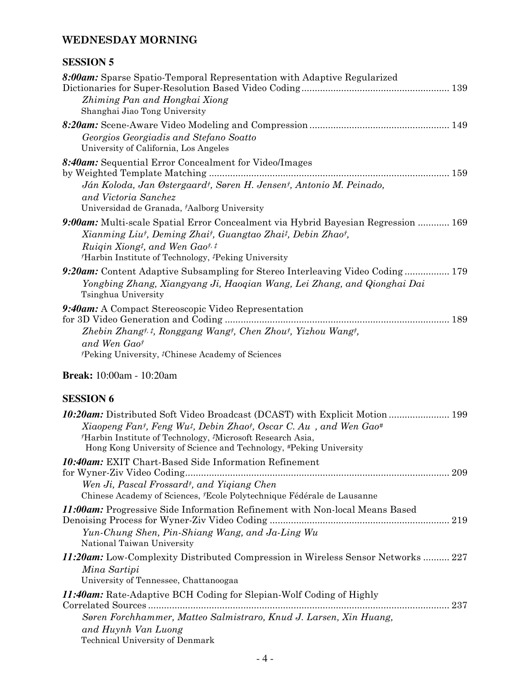## **WEDNESDAY MORNING**

| <b>DEDDIVIN V</b>                                                                                                                                                                                                                                                                                                                          |     |
|--------------------------------------------------------------------------------------------------------------------------------------------------------------------------------------------------------------------------------------------------------------------------------------------------------------------------------------------|-----|
| 8:00am: Sparse Spatio-Temporal Representation with Adaptive Regularized<br>Zhiming Pan and Hongkai Xiong<br>Shanghai Jiao Tong University                                                                                                                                                                                                  |     |
| Georgios Georgiadis and Stefano Soatto<br>University of California, Los Angeles                                                                                                                                                                                                                                                            |     |
| 8:40am: Sequential Error Concealment for Video/Images<br>Ján Koloda, Jan Østergaard <sup>†</sup> , Søren H. Jensen <sup>†</sup> , Antonio M. Peinado,<br>and Victoria Sanchez<br>Universidad de Granada, †Aalborg University                                                                                                               |     |
| 9:00am: Multi-scale Spatial Error Concealment via Hybrid Bayesian Regression  169<br>Xianming Liut, Deming Zhait, Guangtao Zhait, Debin Zhaot,<br>Ruigin Xiong <sup>†</sup> , and Wen Gao <sup>†, †</sup><br><sup>†</sup> Harbin Institute of Technology, <sup>‡</sup> Peking University                                                   |     |
| 9:20am: Content Adaptive Subsampling for Stereo Interleaving Video Coding 179<br>Yongbing Zhang, Xiangyang Ji, Haoqian Wang, Lei Zhang, and Qionghai Dai<br>Tsinghua University                                                                                                                                                            |     |
| 9:40am: A Compact Stereoscopic Video Representation<br>Zhebin Zhangt, i, Ronggang Wangt, Chen Zhout, Yizhou Wangt,<br>and Wen Gaot<br><sup>†</sup> Peking University, <sup>‡</sup> Chinese Academy of Sciences                                                                                                                             |     |
| <b>Break:</b> 10:00am - 10:20am                                                                                                                                                                                                                                                                                                            |     |
| <b>SESSION 6</b>                                                                                                                                                                                                                                                                                                                           |     |
| <b>10:20am:</b> Distributed Soft Video Broadcast (DCAST) with Explicit Motion  199<br>Xiaopeng Fant, Feng Wu <sup>t</sup> , Debin Zhaot, Oscar C. Au, and Wen Gao <sup>#</sup><br><sup>†</sup> Harbin Institute of Technology, <sup>‡</sup> Microsoft Research Asia,<br>Hong Kong University of Science and Technology, #Peking University |     |
| <b>10:40am:</b> EXIT Chart-Based Side Information Refinement<br>Wen Ji, Pascal Frossard <sup>†</sup> , and Yiqiang Chen<br>Chinese Academy of Sciences, <i>†Ecole Polytechnique Fédérale de Lausanne</i>                                                                                                                                   | 209 |
| <i>11:00am:</i> Progressive Side Information Refinement with Non-local Means Based<br>Yun-Chung Shen, Pin-Shiang Wang, and Ja-Ling Wu<br>National Taiwan University                                                                                                                                                                        |     |
| <b>11:20am:</b> Low-Complexity Distributed Compression in Wireless Sensor Networks  227<br>Mina Sartipi<br>University of Tennessee, Chattanoogaa                                                                                                                                                                                           |     |
| <i>11:40am:</i> Rate-Adaptive BCH Coding for Slepian-Wolf Coding of Highly<br>Søren Forchhammer, Matteo Salmistraro, Knud J. Larsen, Xin Huang,<br>and Huynh Van Luong<br>Technical University of Denmark                                                                                                                                  |     |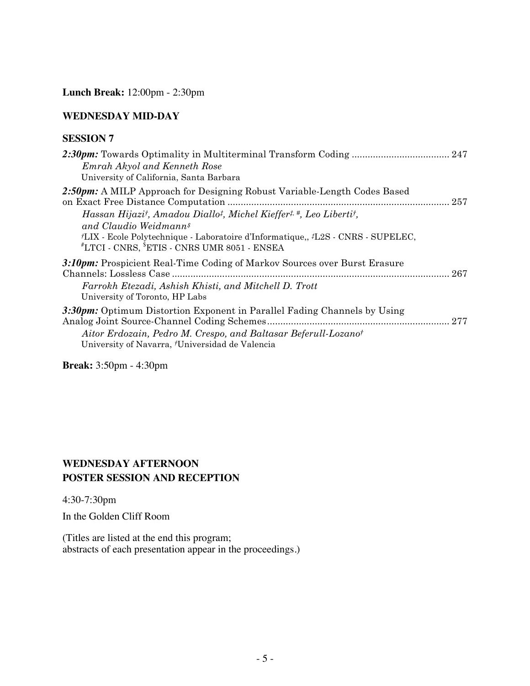**Lunch Break:** 12:00pm - 2:30pm

#### **WEDNESDAY MID-DAY**

#### **SESSION 7**

| Emrah Akyol and Kenneth Rose<br>University of California, Santa Barbara                                                                                                                                                                  |  |
|------------------------------------------------------------------------------------------------------------------------------------------------------------------------------------------------------------------------------------------|--|
| 2:50pm: A MILP Approach for Designing Robust Variable-Length Codes Based<br>Hassan Hijazit, Amadou Diallo <sup>†</sup> , Michel Kieffer <sup>†, #</sup> , Leo Libertit,                                                                  |  |
| and Claudio Weidmann <sup>§</sup><br><i>†LIX</i> - Ecole Polytechnique - Laboratoire d'Informatique, <i>†L2S</i> - CNRS - SUPELEC,<br>$^{\#} \text{LTCI}$ - $\text{CNRS},$ $^{\$} \text{ETIS}$ - $\text{CNRS}$ UMR 8051 - $\text{ENSEA}$ |  |
| 3:10pm: Prospicient Real-Time Coding of Markov Sources over Burst Erasure                                                                                                                                                                |  |
| Farrokh Etezadi, Ashish Khisti, and Mitchell D. Trott<br>University of Toronto, HP Labs                                                                                                                                                  |  |
| 3:30pm: Optimum Distortion Exponent in Parallel Fading Channels by Using<br>Aitor Erdozain, Pedro M. Crespo, and Baltasar Beferull-Lozano <sup>†</sup><br>University of Navarra, <sup>†</sup> Universidad de Valencia                    |  |
|                                                                                                                                                                                                                                          |  |

**Break:** 3:50pm - 4:30pm

## **WEDNESDAY AFTERNOON POSTER SESSION AND RECEPTION**

4:30-7:30pm

In the Golden Cliff Room

(Titles are listed at the end this program; abstracts of each presentation appear in the proceedings.)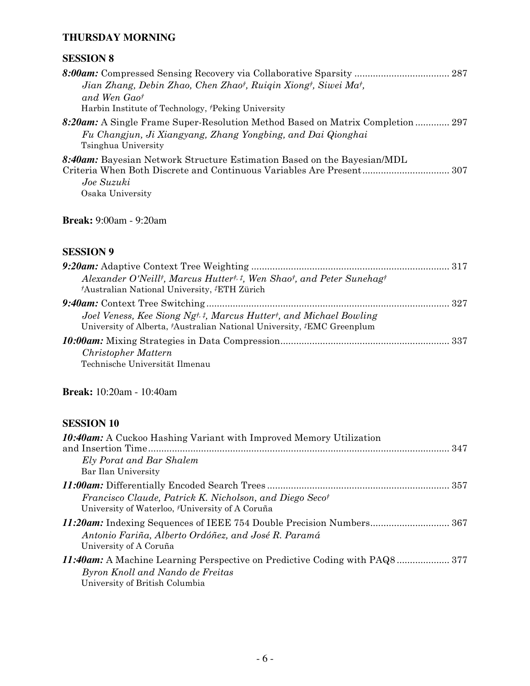#### **THURSDAY MORNING**

#### **SESSION 8**

| Jian Zhang, Debin Zhao, Chen Zhaot, Ruigin Xiongt, Siwei Mat,                  |  |
|--------------------------------------------------------------------------------|--|
| and Wen Gaot                                                                   |  |
| Harbin Institute of Technology, <i>Peking University</i>                       |  |
| 8:20am: A Single Frame Super-Resolution Method Based on Matrix Completion  297 |  |
| Fu Changjun, Ji Xiangyang, Zhang Yongbing, and Dai Qionghai                    |  |
| Tsinghua University                                                            |  |

*8:40am:* Bayesian Network Structure Estimation Based on the Bayesian/MDL Criteria When Both Discrete and Continuous Variables Are Present................................. 307 *Joe Suzuki* Osaka University

**Break:** 9:00am - 9:20am

#### **SESSION 9**

| Alexander O'Neill <sup>†</sup> , Marcus Hutter <sup>†, ‡</sup> , Wen Shao <sup>†</sup> , and Peter Sunehag <sup>†</sup><br><i>†Australian National University, #ETH Zürich</i> |  |
|--------------------------------------------------------------------------------------------------------------------------------------------------------------------------------|--|
|                                                                                                                                                                                |  |
| Joel Veness, Kee Siong Ngt, t, Marcus Huttert, and Michael Bowling<br>University of Alberta, <sup>†</sup> Australian National University, <sup>‡</sup> EMC Greenplum           |  |
|                                                                                                                                                                                |  |
| Christopher Mattern                                                                                                                                                            |  |
| Technische Universität Ilmenau                                                                                                                                                 |  |

**Break:** 10:20am - 10:40am

| <b>10:40am:</b> A Cuckoo Hashing Variant with Improved Memory Utilization                                                                        |  |
|--------------------------------------------------------------------------------------------------------------------------------------------------|--|
| Ely Porat and Bar Shalem<br>Bar Ilan University                                                                                                  |  |
| Francisco Claude, Patrick K. Nicholson, and Diego Secot<br>University of Waterloo, 'University of A Coruña                                       |  |
| Antonio Fariña, Alberto Ordóñez, and José R. Paramá<br>University of A Coruña                                                                    |  |
| 11:40am: A Machine Learning Perspective on Predictive Coding with PAQ8 377<br>Byron Knoll and Nando de Freitas<br>University of British Columbia |  |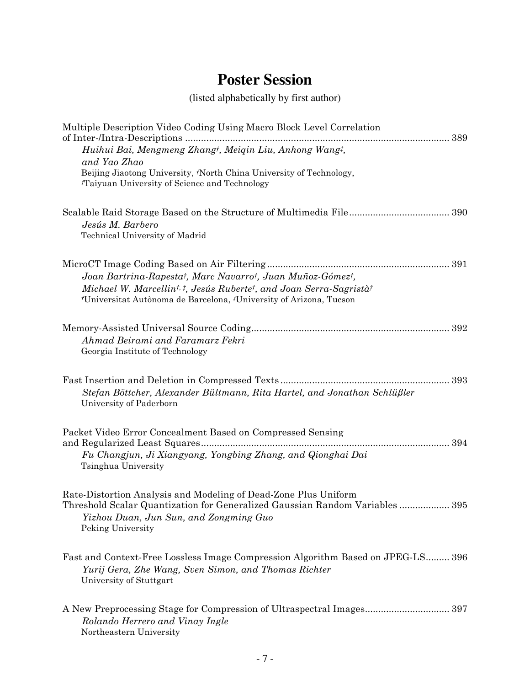# **Poster Session**

# (listed alphabetically by first author)

| Multiple Description Video Coding Using Macro Block Level Correlation<br>of Inter-/Intra-Descriptions<br>389                                                                                                                                             |
|----------------------------------------------------------------------------------------------------------------------------------------------------------------------------------------------------------------------------------------------------------|
| Huihui Bai, Mengmeng Zhang <sup>†</sup> , Meiqin Liu, Anhong Wang <sup>†</sup> ,                                                                                                                                                                         |
| and Yao Zhao                                                                                                                                                                                                                                             |
| Beijing Jiaotong University, <i>†North China University of Technology</i> ,<br>Taiyuan University of Science and Technology                                                                                                                              |
| Jesús M. Barbero                                                                                                                                                                                                                                         |
| Technical University of Madrid                                                                                                                                                                                                                           |
| Joan Bartrina-Rapesta <sup>†</sup> , Marc Navarro <sup>†</sup> , Juan Muñoz-Gómez <sup>†</sup> ,<br>Michael W. Marcellint, t, Jesús Rubertet, and Joan Serra-Sagristàt<br>/Universitat Autònoma de Barcelona, <sup>†</sup> University of Arizona, Tucson |
| Ahmad Beirami and Faramarz Fekri<br>Georgia Institute of Technology                                                                                                                                                                                      |
| Stefan Böttcher, Alexander Bültmann, Rita Hartel, and Jonathan Schlüßler<br>University of Paderborn                                                                                                                                                      |
| Packet Video Error Concealment Based on Compressed Sensing                                                                                                                                                                                               |
| Fu Changjun, Ji Xiangyang, Yongbing Zhang, and Qionghai Dai<br>Tsinghua University                                                                                                                                                                       |
| Rate-Distortion Analysis and Modeling of Dead-Zone Plus Uniform<br>Threshold Scalar Quantization for Generalized Gaussian Random Variables 395<br>Yizhou Duan, Jun Sun, and Zongming Guo<br>Peking University                                            |
| Fast and Context-Free Lossless Image Compression Algorithm Based on JPEG-LS 396<br>Yurij Gera, Zhe Wang, Sven Simon, and Thomas Richter<br>University of Stuttgart                                                                                       |
| A New Preprocessing Stage for Compression of Ultraspectral Images 397<br>Rolando Herrero and Vinay Ingle<br>Northeastern University                                                                                                                      |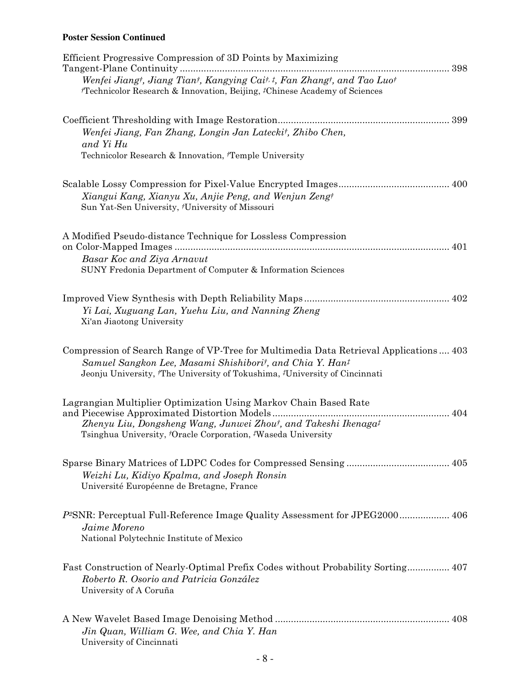#### **Poster Session Continued**

| Efficient Progressive Compression of 3D Points by Maximizing<br>Tangent-Plane Continuity<br>398                                                                             |  |
|-----------------------------------------------------------------------------------------------------------------------------------------------------------------------------|--|
| Wenfei Jiangt, Jiang Tiant, Kangying Cait, t, Fan Zhangt, and Tao Luot<br><sup>†</sup> Technicolor Research & Innovation, Beijing, <sup>‡</sup> Chinese Academy of Sciences |  |
| 399                                                                                                                                                                         |  |
| Wenfei Jiang, Fan Zhang, Longin Jan Latecki <sup>†</sup> , Zhibo Chen,<br>and Yi Hu                                                                                         |  |
| Technicolor Research & Innovation, 'Temple University                                                                                                                       |  |
|                                                                                                                                                                             |  |
| Xiangui Kang, Xianyu Xu, Anjie Peng, and Wenjun Zengt<br>Sun Yat-Sen University, 'University of Missouri                                                                    |  |
| A Modified Pseudo-distance Technique for Lossless Compression<br>401                                                                                                        |  |
| Basar Koc and Ziya Arnavut                                                                                                                                                  |  |
| SUNY Fredonia Department of Computer & Information Sciences                                                                                                                 |  |
|                                                                                                                                                                             |  |
| Yi Lai, Xuguang Lan, Yuehu Liu, and Nanning Zheng<br>Xi'an Jiaotong University                                                                                              |  |
| Compression of Search Range of VP-Tree for Multimedia Data Retrieval Applications 403                                                                                       |  |
| Samuel Sangkon Lee, Masami Shishiborit, and Chia Y. Hant<br>Jeonju University, 'The University of Tokushima, 'University of Cincinnati                                      |  |
| Lagrangian Multiplier Optimization Using Markov Chain Based Rate<br>404                                                                                                     |  |
| Zhenyu Liu, Dongsheng Wang, Junwei Zhout, and Takeshi Ikenaga <sup>†</sup><br>Tsinghua University, <i>†</i> Oracle Corporation, <i>‡Waseda University</i>                   |  |
|                                                                                                                                                                             |  |
| Weizhi Lu, Kidiyo Kpalma, and Joseph Ronsin<br>Université Européenne de Bretagne, France                                                                                    |  |
| P <sup>2</sup> SNR: Perceptual Full-Reference Image Quality Assessment for JPEG2000 406                                                                                     |  |
| Jaime Moreno<br>National Polytechnic Institute of Mexico                                                                                                                    |  |
| Fast Construction of Nearly-Optimal Prefix Codes without Probability Sorting 407<br>Roberto R. Osorio and Patricia González                                                 |  |
| University of A Coruña                                                                                                                                                      |  |
|                                                                                                                                                                             |  |
| Jin Quan, William G. Wee, and Chia Y. Han<br>University of Cincinnati                                                                                                       |  |